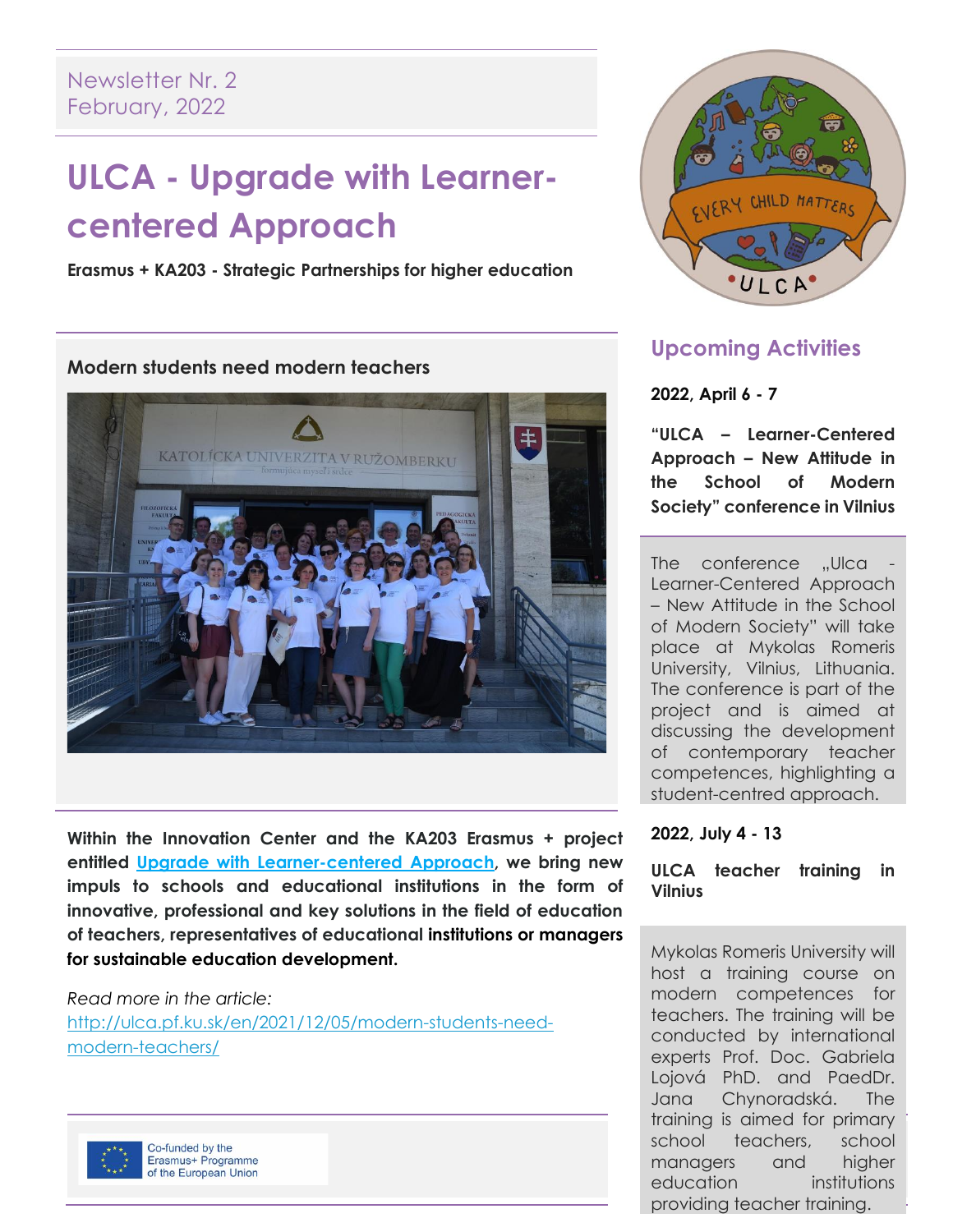# **ULCA - Upgrade with Learnercentered Approach**

**Erasmus + KA203 - Strategic Partnerships for higher education**

#### **Modern students need modern teachers**



**Within the Innovation Center and the KA203 Erasmus + project entitled [Upgrade with Learner-centered Approach,](https://www.harmony.sk/projects/ka203-upgrade-with-learner-centered-approach) we bring new impuls to schools and educational institutions in the form of innovative, professional and key solutions in the field of education of teachers, representatives of educational institutions or managers for sustainable education development.**

*Read more in the article:* 

[http://ulca.pf.ku.sk/en/2021/12/05/modern-students-need](http://ulca.pf.ku.sk/en/2021/12/05/modern-students-need-modern-teachers/)[modern-teachers/](http://ulca.pf.ku.sk/en/2021/12/05/modern-students-need-modern-teachers/)



Co-funded by the Erasmus+ Programme of the European Union



## **Upcoming Activities**

### **2022, April 6 - 7**

**"ULCA – Learner-Centered Approach – New Attitude in the School of Modern Society" conference in Vilnius**

The conference "Ulca Learner-Centered Approach – New Attitude in the School of Modern Society" will take place at Mykolas Romeris University, Vilnius, Lithuania. The conference is part of the project and is aimed at discussing the development of contemporary teacher competences, highlighting a student-centred approach.

### **2022, July 4 - 13**

**ULCA teacher training in Vilnius**

school teachers, school Mykolas Romeris University will host a training course on modern competences for teachers. The training will be conducted by international experts Prof. Doc. Gabriela Lojová PhD. and PaedDr. Jana Chynoradská. The training is aimed for primary managers and higher education institutions providing teacher training.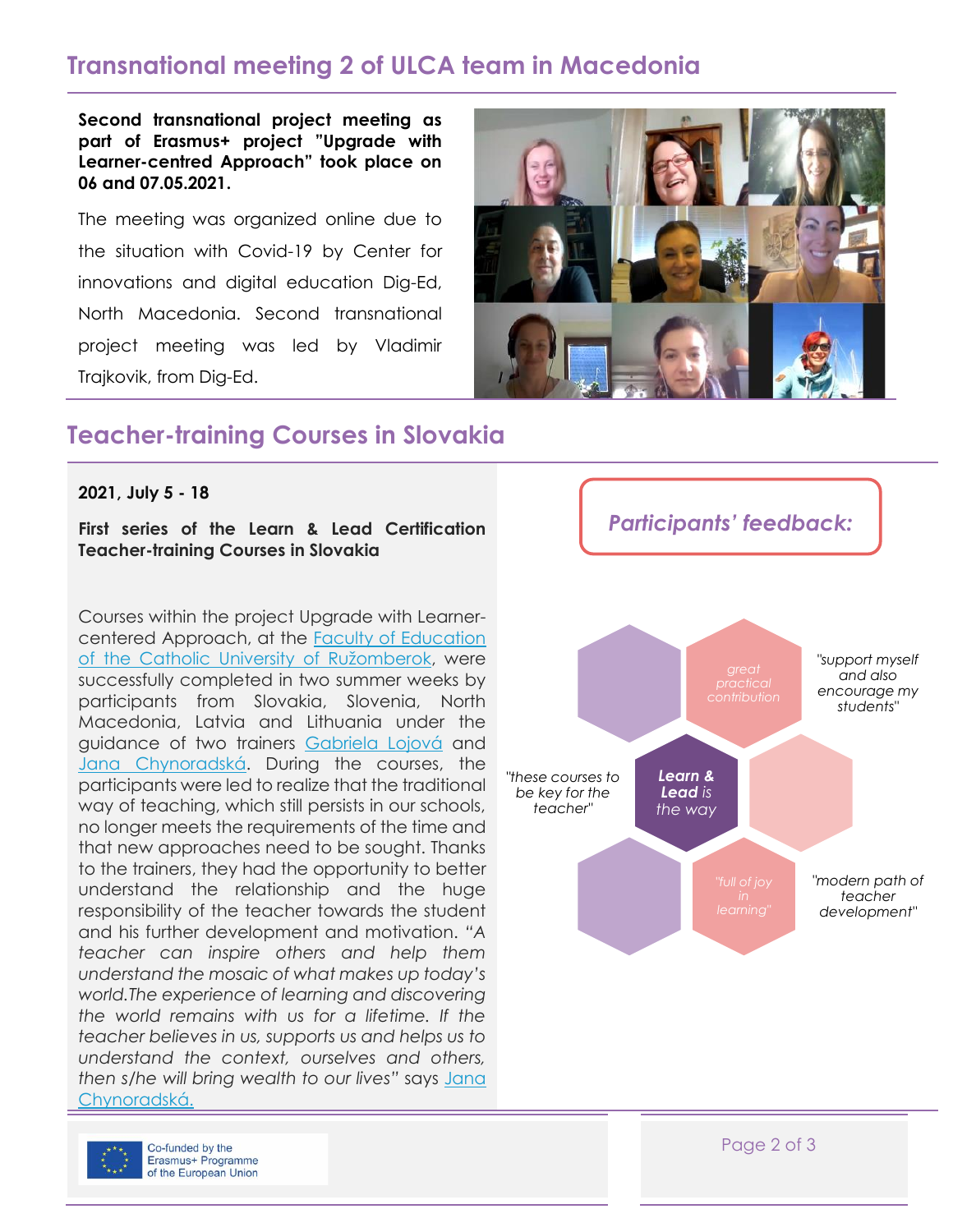# **Transnational meeting 2 of ULCA team in Macedonia**

**Second transnational project meeting as part of Erasmus+ project "Upgrade with Learner-centred Approach" took place on 06 and 07.05.2021.**

The meeting was organized online due to the situation with Covid-19 by Center for innovations and digital education Dig-Ed, North Macedonia. Second transnational project meeting was led by Vladimir Trajkovik, from Dig-Ed.



### **Teacher-training Courses in Slovakia**

**2021, July 5 - 18**

**First series of the Learn & Lead Certification Teacher-training Courses in Slovakia**

Courses within the project Upgrade with Learnercentered Approach, at the [Faculty of Education](https://www.ku.sk/fakulty-katolickej-univerzity/pedagogicka-fakulta/)  of [the Catholic University of Ružomberok](https://www.ku.sk/fakulty-katolickej-univerzity/pedagogicka-fakulta/), were successfully completed in two summer weeks by participants from Slovakia, Slovenia, North Macedonia, Latvia and Lithuania under the guidance of two trainers [Gabriela Lojová](https://www.harmony.sk/teachers/gabriela-lojova) and [Jana Chynoradská](https://www.harmony.sk/teachers/jana-chynoradska). During the courses, the participants were led to realize that the traditional way of teaching, which still persists in our schools, no longer meets the requirements of the time and that new approaches need to be sought. Thanks to the trainers, they had the opportunity to better understand the relationship and the huge responsibility of the teacher towards the student and his further development and motivation. *"A teacher can inspire others and help them understand the mosaic of what makes up today's world.The experience of learning and discovering the world remains with us for a lifetime. If the teacher believes in us, supports us and helps us to understand the context, ourselves and others, then s/he will bring wealth to our lives"* says [Jana](https://www.harmony.sk/teachers/jana-chynoradska)  [Chynoradská.](https://www.harmony.sk/teachers/jana-chynoradska)



*Participants' feedback:*